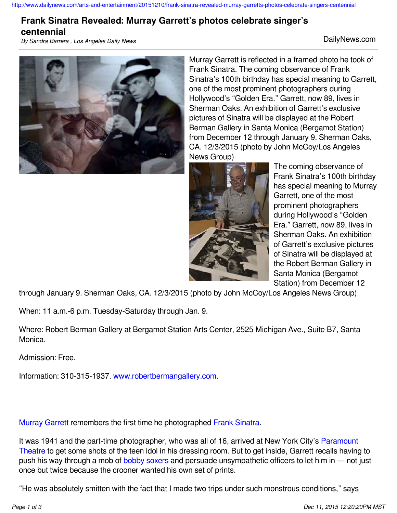## **Frank Sinatra Revealed: Murray Garrett's photos celebrate singer's**

**centennial**

*By Sandra Barrera , Los Angeles Daily News* DailyNews.com



Murray Garrett is reflected in a framed photo he took of Frank Sinatra. The coming observance of Frank Sinatra's 100th birthday has special meaning to Garrett, one of the most prominent photographers during Hollywood's "Golden Era." Garrett, now 89, lives in Sherman Oaks. An exhibition of Garrett's exclusive pictures of Sinatra will be displayed at the Robert Berman Gallery in Santa Monica (Bergamot Station) from December 12 through January 9. Sherman Oaks, CA. 12/3/2015 (photo by John McCoy/Los Angeles News Group)



The coming observance of Frank Sinatra's 100th birthday has special meaning to Murray Garrett, one of the most prominent photographers during Hollywood's "Golden Era." Garrett, now 89, lives in Sherman Oaks. An exhibition of Garrett's exclusive pictures of Sinatra will be displayed at the Robert Berman Gallery in Santa Monica (Bergamot Station) from December 12

through January 9. Sherman Oaks, CA. 12/3/2015 (photo by John McCoy/Los Angeles News Group)

When: 11 a.m.-6 p.m. Tuesday-Saturday through Jan. 9.

Where: Robert Berman Gallery at Bergamot Station Arts Center, 2525 Michigan Ave., Suite B7, Santa Monica.

Admission: Free.

Information: 310-315-1937. [www.robertbermangallery.com.](http://www.robertbermangallery.com)

[Murray Garrett](http://www.murraygarrett.com/) remembers the first time he photographed [Frank Sinatra](http://www.sinatra.com/).

It was 1941 and the part-time photographer, who was all of 16, arrived at New York City's [Paramount](http://middletownparamount.com/) [Theatre](http://middletownparamount.com/) to get some shots of the teen idol in his dressing room. But to get inside, Garrett recalls having to push his way through a mob of [bobby soxers](https://en.wikipedia.org/wiki/Bobby_soxer) and persuade unsympathetic officers to let him in — not just once but twice because the crooner wanted his own set of prints.

"He was absolutely smitten with the fact that I made two trips under such monstrous conditions," says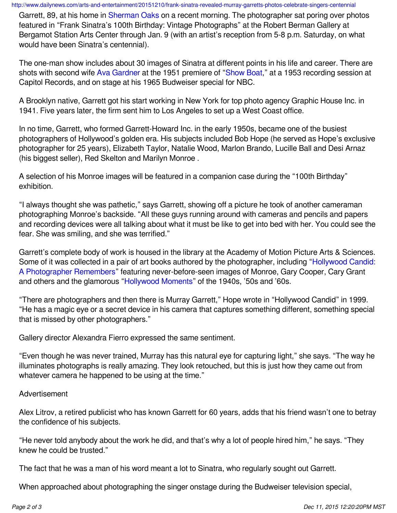<http://www.dailynews.com/arts-and-entertainment/20151210/frank-sinatra-revealed-murray-garretts-photos-celebrate-singers-centennial>

Garrett, 89, at his home in [Sherman Oaks](https://en.wikipedia.org/wiki/Sherman_Oaks,_Los_Angeles) on a recent morning. The photographer sat poring over photos featured in "Frank Sinatra's 100th Birthday: Vintage Photographs" at the Robert Berman Gallery at Bergamot Station Arts Center through Jan. 9 (with an artist's reception from 5-8 p.m. Saturday, on what would have been Sinatra's centennial).

The one-man show includes about 30 images of Sinatra at different points in his life and career. There are shots with second wife [Ava Gardner](http://www.biography.com/people/ava-gardner-9306531) at the 1951 premiere of "[Show Boat,](http://www.amazon.com/Show-Boat-Kathryn-Grayson/dp/B00004RF9K)" at a 1953 recording session at Capitol Records, and on stage at his 1965 Budweiser special for NBC.

A Brooklyn native, Garrett got his start working in New York for top photo agency Graphic House Inc. in 1941. Five years later, the firm sent him to Los Angeles to set up a West Coast office.

In no time, Garrett, who formed Garrett-Howard Inc. in the early 1950s, became one of the busiest photographers of Hollywood's golden era. His subjects included Bob Hope (he served as Hope's exclusive photographer for 25 years), Elizabeth Taylor, Natalie Wood, Marlon Brando, Lucille Ball and Desi Arnaz (his biggest seller), Red Skelton and Marilyn Monroe .

A selection of his Monroe images will be featured in a companion case during the "100th Birthday" exhibition.

"I always thought she was pathetic," says Garrett, showing off a picture he took of another cameraman photographing Monroe's backside. "All these guys running around with cameras and pencils and papers and recording devices were all talking about what it must be like to get into bed with her. You could see the fear. She was smiling, and she was terrified."

Garrett's complete body of work is housed in the library at the Academy of Motion Picture Arts & Sciences. Some of it was collected in a pair of art books authored by the photographer, including "[Hollywood Candid:](http://www.amazon.com/Hollywood-Candid-A-Photographer-Remembers/dp/0810934418/ref=pd_sim_14_1?ie=UTF8&dpID=41BCVEHFP5L&dpSrc=sims&preST=_AC_UL160_SR123,160_&refRID=0DBBJ33YB6AD8P654EXY) [A Photographer Remembers](http://www.amazon.com/Hollywood-Candid-A-Photographer-Remembers/dp/0810934418/ref=pd_sim_14_1?ie=UTF8&dpID=41BCVEHFP5L&dpSrc=sims&preST=_AC_UL160_SR123,160_&refRID=0DBBJ33YB6AD8P654EXY)" featuring never-before-seen images of Monroe, Gary Cooper, Cary Grant and others and the glamorous "[Hollywood Moments](http://www.amazon.com/Hollywood-Moments-Murray-Garrett/dp/0810932423/ref=pd_sim_14_1?ie=UTF8&dpID=51ECVVWAP2L&dpSrc=sims&preST=_AC_UL160_SR126,160_&refRID=01N9N3MCCKN1T12V5JSC)" of the 1940s, '50s and '60s.

"There are photographers and then there is Murray Garrett," Hope wrote in "Hollywood Candid" in 1999. "He has a magic eye or a secret device in his camera that captures something different, something special that is missed by other photographers."

Gallery director Alexandra Fierro expressed the same sentiment.

"Even though he was never trained, Murray has this natural eye for capturing light," she says. "The way he illuminates photographs is really amazing. They look retouched, but this is just how they came out from whatever camera he happened to be using at the time."

## Advertisement

Alex Litrov, a retired publicist who has known Garrett for 60 years, adds that his friend wasn't one to betray the confidence of his subjects.

"He never told anybody about the work he did, and that's why a lot of people hired him," he says. "They knew he could be trusted."

The fact that he was a man of his word meant a lot to Sinatra, who regularly sought out Garrett.

When approached about photographing the singer onstage during the Budweiser television special,